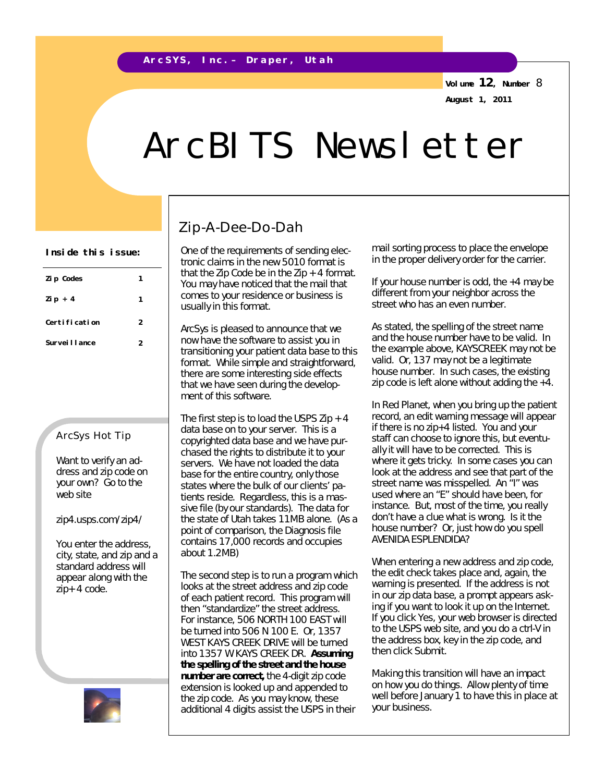**Volume 12, Number** 8 **August 1, 2011**

# ArcBITS Newsletter

| Zi p Codes     |   |
|----------------|---|
| Zip + $4$      |   |
| Certification  | 2 |
| Survei I Lance | 2 |
|                |   |

#### ArcSys Hot Tip

Want to verify an address and zip code on your own? Go to the web site

zip4.usps.com/zip4/

You enter the address, city, state, and zip and a standard address will appear along with the zip+ 4 code.



### Zip-A-Dee-Do-Dah

tronic claims in the new 5010 format is that the Zip Code be in the Zip  $+$  4 format. You may have noticed that the mail that comes to your residence or business is usually in this format.

ArcSys is pleased to announce that we now have the software to assist you in transitioning your patient data base to this format. While simple and straightforward, there are some interesting side effects that we have seen during the development of this software.

The first step is to load the USPS Zip  $+4$ data base on to your server. This is a copyrighted data base and we have purchased the rights to distribute it to your servers. We have not loaded the data base for the entire country, only those states where the bulk of our clients' patients reside. Regardless, this is a massive file (by our standards). The data for the state of Utah takes 11MB alone. (As a point of comparison, the Diagnosis file contains 17,000 records and occupies about 1.2MB)

The second step is to run a program which looks at the street address and zip code of each patient record. This program will then "standardize" the street address. For instance, 506 NORTH 100 EAST will be turned into 506 N 100 E. Or, 1357 WEST KAYS CREEK DRIVE will be turned into 1357 W KAYS CREEK DR. *Assuming the spelling of the street and the house number are correct,* the 4-digit zip code extension is looked up and appended to the zip code. As you may know, these additional 4 digits assist the USPS in their

Inside this issue: **One of the requirements of sending elec**- mail sorting process to place the envelope in the proper delivery order for the carrier.

> If your house number is odd, the +4 may be different from your neighbor across the street who has an even number.

As stated, the spelling of the street name and the house number have to be valid. In the example above, KAYSCREEK may not be valid. Or, 137 may not be a legitimate house number. In such cases, the existing zip code is left alone without adding the +4.

In Red Planet, when you bring up the patient record, an edit warning message will appear if there is no zip+4 listed. You and your staff can choose to ignore this, but eventually it will have to be corrected. This is where it gets tricky. In some cases you can look at the address and see that part of the street name was misspelled. An "I" was used where an "E" should have been, for instance. But, most of the time, you really don't have a clue what is wrong. Is it the house number? Or, just how do you spell AVENIDA ESPLENDIDA?

When entering a new address and zip code, the edit check takes place and, again, the warning is presented. If the address is not in our zip data base, a prompt appears asking if you want to look it up on the Internet. If you click Yes, your web browser is directed to the USPS web site, and you do a ctrl-V in the address box, key in the zip code, and then click Submit.

Making this transition will have an impact on how you do things. Allow plenty of time well before January 1 to have this in place at your business.